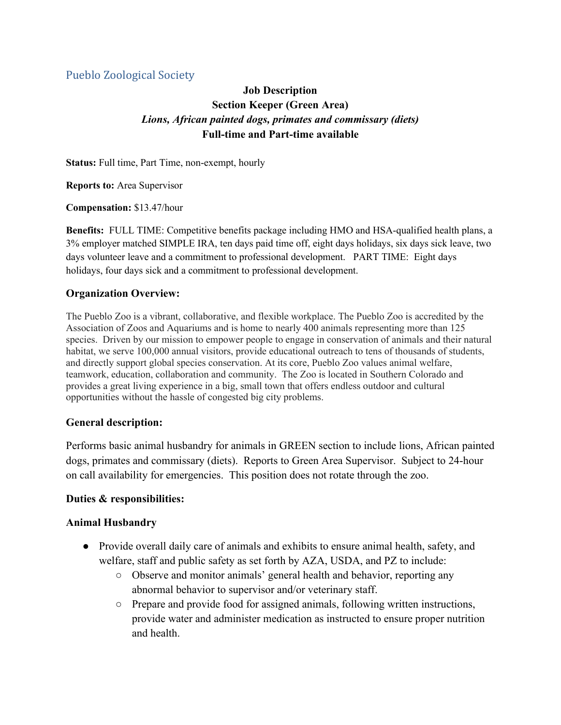## Pueblo Zoological Society

# **Job Description Section Keeper (Green Area)** *Lions, African painted dogs, primates and commissary (diets)* **Full-time and Part-time available**

**Status:** Full time, Part Time, non-exempt, hourly

**Reports to:** Area Supervisor

**Compensation:** \$13.47/hour

**Benefits:** FULL TIME: Competitive benefits package including HMO and HSA-qualified health plans, a 3% employer matched SIMPLE IRA, ten days paid time off, eight days holidays, six days sick leave, two days volunteer leave and a commitment to professional development. PART TIME: Eight days holidays, four days sick and a commitment to professional development.

### **Organization Overview:**

The Pueblo Zoo is a vibrant, collaborative, and flexible workplace. The Pueblo Zoo is accredited by the Association of Zoos and Aquariums and is home to nearly 400 animals representing more than 125 species. Driven by our mission to empower people to engage in conservation of animals and their natural habitat, we serve 100,000 annual visitors, provide educational outreach to tens of thousands of students, and directly support global species conservation. At its core, Pueblo Zoo values animal welfare, teamwork, education, collaboration and community. The Zoo is located in Southern Colorado and provides a great living experience in a big, small town that offers endless outdoor and cultural opportunities without the hassle of congested big city problems.

#### **General description:**

Performs basic animal husbandry for animals in GREEN section to include lions, African painted dogs, primates and commissary (diets). Reports to Green Area Supervisor. Subject to 24-hour on call availability for emergencies. This position does not rotate through the zoo.

#### **Duties & responsibilities:**

#### **Animal Husbandry**

- Provide overall daily care of animals and exhibits to ensure animal health, safety, and welfare, staff and public safety as set forth by AZA, USDA, and PZ to include:
	- Observe and monitor animals' general health and behavior, reporting any abnormal behavior to supervisor and/or veterinary staff.
	- Prepare and provide food for assigned animals, following written instructions, provide water and administer medication as instructed to ensure proper nutrition and health.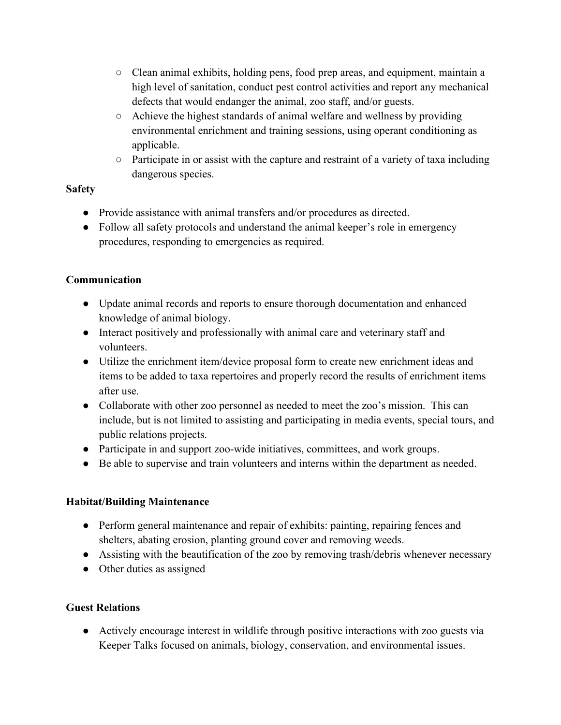- Clean animal exhibits, holding pens, food prep areas, and equipment, maintain a high level of sanitation, conduct pest control activities and report any mechanical defects that would endanger the animal, zoo staff, and/or guests.
- Achieve the highest standards of animal welfare and wellness by providing environmental enrichment and training sessions, using operant conditioning as applicable.
- Participate in or assist with the capture and restraint of a variety of taxa including dangerous species.

### **Safety**

- Provide assistance with animal transfers and/or procedures as directed.
- Follow all safety protocols and understand the animal keeper's role in emergency procedures, responding to emergencies as required.

## **Communication**

- Update animal records and reports to ensure thorough documentation and enhanced knowledge of animal biology.
- Interact positively and professionally with animal care and veterinary staff and volunteers.
- Utilize the enrichment item/device proposal form to create new enrichment ideas and items to be added to taxa repertoires and properly record the results of enrichment items after use.
- Collaborate with other zoo personnel as needed to meet the zoo's mission. This can include, but is not limited to assisting and participating in media events, special tours, and public relations projects.
- Participate in and support zoo-wide initiatives, committees, and work groups.
- Be able to supervise and train volunteers and interns within the department as needed.

## **Habitat/Building Maintenance**

- Perform general maintenance and repair of exhibits: painting, repairing fences and shelters, abating erosion, planting ground cover and removing weeds.
- Assisting with the beautification of the zoo by removing trash/debris whenever necessary
- Other duties as assigned

## **Guest Relations**

● Actively encourage interest in wildlife through positive interactions with zoo guests via Keeper Talks focused on animals, biology, conservation, and environmental issues.